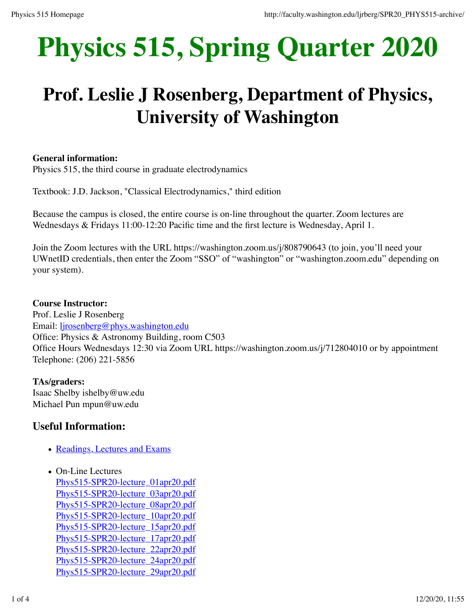# **Physics 515, Spring Quarter 2020**

# **Prof. Leslie J Rosenberg, Department of Physics, University of Washington**

#### **General information:**

Physics 515, the third course in graduate electrodynamics

Textbook: J.D. Jackson, "Classical Electrodynamics," third edition

Because the campus is closed, the entire course is on-line throughout the quarter. Zoom lectures are Wednesdays & Fridays 11:00-12:20 Pacific time and the first lecture is Wednesday, April 1.

Join the Zoom lectures with the URL https://washington.zoom.us/j/808790643 (to join, you'll need your UWnetID credentials, then enter the Zoom "SSO" of "washington" or "washington.zoom.edu" depending on your system).

#### **Course Instructor:**

Prof. Leslie J Rosenberg Email: ljrosenberg@phys.washington.edu Office: Physics & Astronomy Building, room C503 Office Hours Wednesdays 12:30 via Zoom URL https://washington.zoom.us/j/712804010 or by appointment Telephone: (206) 221-5856

**TAs/graders:** Isaac Shelby ishelby@uw.edu Michael Pun mpun@uw.edu

# **Useful Information:**

- Readings, Lectures and Exams
- On-Line Lectures Phys515-SPR20-lecture\_01apr20.pdf Phys515-SPR20-lecture\_03apr20.pdf Phys515-SPR20-lecture\_08apr20.pdf Phys515-SPR20-lecture\_10apr20.pdf Phys515-SPR20-lecture\_15apr20.pdf Phys515-SPR20-lecture\_17apr20.pdf Phys515-SPR20-lecture\_22apr20.pdf Phys515-SPR20-lecture\_24apr20.pdf Phys515-SPR20-lecture\_29apr20.pdf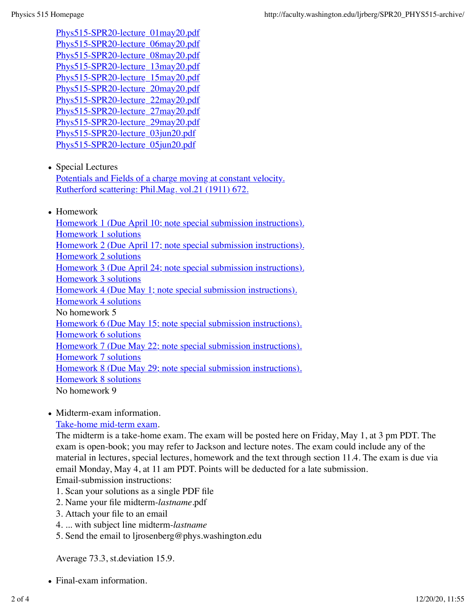Phys515-SPR20-lecture\_01may20.pdf Phys515-SPR20-lecture\_06may20.pdf Phys515-SPR20-lecture\_08may20.pdf Phys515-SPR20-lecture\_13may20.pdf Phys515-SPR20-lecture\_15may20.pdf Phys515-SPR20-lecture\_20may20.pdf Phys515-SPR20-lecture\_22may20.pdf Phys515-SPR20-lecture\_27may20.pdf Phys515-SPR20-lecture\_29may20.pdf Phys515-SPR20-lecture\_03jun20.pdf Phys515-SPR20-lecture\_05jun20.pdf

• Special Lectures

Potentials and Fields of a charge moving at constant velocity. Rutherford scattering: Phil.Mag. vol.21 (1911) 672.

• Homework

Homework 1 (Due April 10; note special submission instructions). Homework 1 solutions Homework 2 (Due April 17; note special submission instructions). Homework 2 solutions Homework 3 (Due April 24; note special submission instructions). Homework 3 solutions Homework 4 (Due May 1; note special submission instructions). Homework 4 solutions No homework 5 Homework 6 (Due May 15; note special submission instructions). Homework 6 solutions Homework 7 (Due May 22; note special submission instructions). Homework 7 solutions Homework 8 (Due May 29; note special submission instructions). Homework 8 solutions No homework 9

• Midterm-exam information.

### Take-home mid-term exam.

The midterm is a take-home exam. The exam will be posted here on Friday, May 1, at 3 pm PDT. The exam is open-book; you may refer to Jackson and lecture notes. The exam could include any of the material in lectures, special lectures, homework and the text through section 11.4. The exam is due via email Monday, May 4, at 11 am PDT. Points will be deducted for a late submission. Email-submission instructions:

- 1. Scan your solutions as a single PDF file
- 2. Name your file midterm-*lastname*.pdf
- 3. Attach your file to an email
- 4. ... with subject line midterm-*lastname*
- 5. Send the email to ljrosenberg@phys.washington.edu

Average 73.3, st.deviation 15.9.

Final-exam information.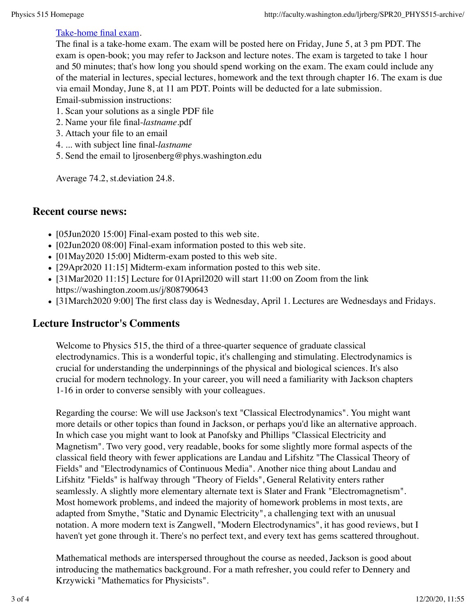#### Take-home final exam.

The final is a take-home exam. The exam will be posted here on Friday, June 5, at 3 pm PDT. The exam is open-book; you may refer to Jackson and lecture notes. The exam is targeted to take 1 hour and 50 minutes; that's how long you should spend working on the exam. The exam could include any of the material in lectures, special lectures, homework and the text through chapter 16. The exam is due via email Monday, June 8, at 11 am PDT. Points will be deducted for a late submission. Email-submission instructions:

- 1. Scan your solutions as a single PDF file
- 2. Name your file final-*lastname*.pdf
- 3. Attach your file to an email
- 4. ... with subject line final-*lastname*
- 5. Send the email to ljrosenberg@phys.washington.edu

Average 74.2, st.deviation 24.8.

## **Recent course news:**

- $\bullet$  [05Jun2020 15:00] Final-exam posted to this web site.
- [02Jun2020 08:00] Final-exam information posted to this web site.
- [01May2020 15:00] Midterm-exam posted to this web site.
- [29Apr2020 11:15] Midterm-exam information posted to this web site.
- [31Mar2020 11:15] Lecture for 01April2020 will start 11:00 on Zoom from the link https://washington.zoom.us/j/808790643
- [31March2020 9:00] The first class day is Wednesday, April 1. Lectures are Wednesdays and Fridays.

# **Lecture Instructor's Comments**

Welcome to Physics 515, the third of a three-quarter sequence of graduate classical electrodynamics. This is a wonderful topic, it's challenging and stimulating. Electrodynamics is crucial for understanding the underpinnings of the physical and biological sciences. It's also crucial for modern technology. In your career, you will need a familiarity with Jackson chapters 1-16 in order to converse sensibly with your colleagues.

Regarding the course: We will use Jackson's text "Classical Electrodynamics". You might want more details or other topics than found in Jackson, or perhaps you'd like an alternative approach. In which case you might want to look at Panofsky and Phillips "Classical Electricity and Magnetism". Two very good, very readable, books for some slightly more formal aspects of the classical field theory with fewer applications are Landau and Lifshitz "The Classical Theory of Fields" and "Electrodynamics of Continuous Media". Another nice thing about Landau and Lifshitz "Fields" is halfway through "Theory of Fields", General Relativity enters rather seamlessly. A slightly more elementary alternate text is Slater and Frank "Electromagnetism". Most homework problems, and indeed the majority of homework problems in most texts, are adapted from Smythe, "Static and Dynamic Electricity", a challenging text with an unusual notation. A more modern text is Zangwell, "Modern Electrodynamics", it has good reviews, but I haven't yet gone through it. There's no perfect text, and every text has gems scattered throughout.

Mathematical methods are interspersed throughout the course as needed, Jackson is good about introducing the mathematics background. For a math refresher, you could refer to Dennery and Krzywicki "Mathematics for Physicists".